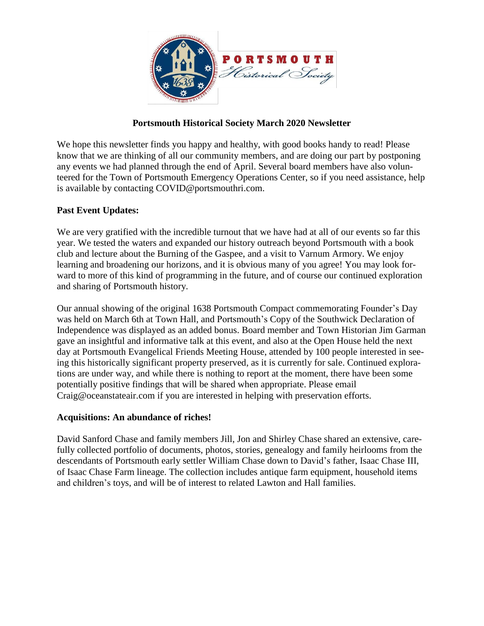

## **Portsmouth Historical Society March 2020 Newsletter**

We hope this newsletter finds you happy and healthy, with good books handy to read! Please know that we are thinking of all our community members, and are doing our part by postponing any events we had planned through the end of April. Several board members have also volunteered for the Town of Portsmouth Emergency Operations Center, so if you need assistance, help is available by contacting COVID@portsmouthri.com.

## **Past Event Updates:**

We are very gratified with the incredible turnout that we have had at all of our events so far this year. We tested the waters and expanded our history outreach beyond Portsmouth with a book club and lecture about the Burning of the Gaspee, and a visit to Varnum Armory. We enjoy learning and broadening our horizons, and it is obvious many of you agree! You may look forward to more of this kind of programming in the future, and of course our continued exploration and sharing of Portsmouth history.

Our annual showing of the original 1638 Portsmouth Compact commemorating Founder's Day was held on March 6th at Town Hall, and Portsmouth's Copy of the Southwick Declaration of Independence was displayed as an added bonus. Board member and Town Historian Jim Garman gave an insightful and informative talk at this event, and also at the Open House held the next day at Portsmouth Evangelical Friends Meeting House, attended by 100 people interested in seeing this historically significant property preserved, as it is currently for sale. Continued explorations are under way, and while there is nothing to report at the moment, there have been some potentially positive findings that will be shared when appropriate. Please email Craig@oceanstateair.com if you are interested in helping with preservation efforts.

## **Acquisitions: An abundance of riches!**

David Sanford Chase and family members Jill, Jon and Shirley Chase shared an extensive, carefully collected portfolio of documents, photos, stories, genealogy and family heirlooms from the descendants of Portsmouth early settler William Chase down to David's father, Isaac Chase III, of Isaac Chase Farm lineage. The collection includes antique farm equipment, household items and children's toys, and will be of interest to related Lawton and Hall families.